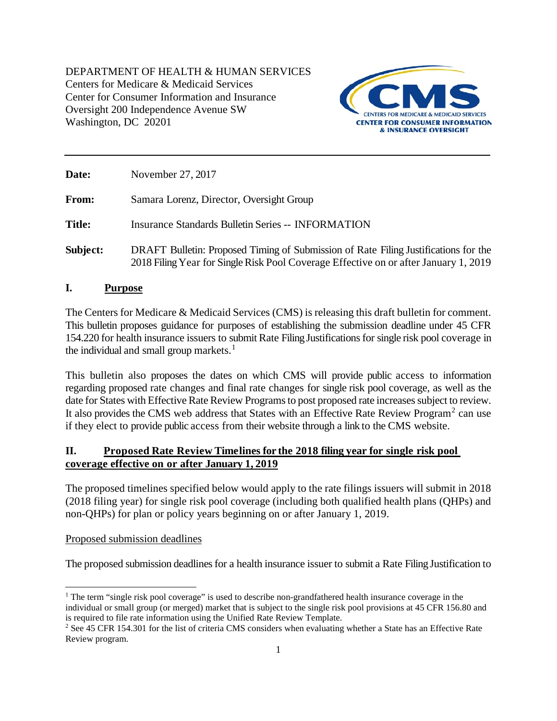DEPARTMENT OF HEALTH & HUMAN SERVICES Centers for Medicare & Medicaid Services Center for Consumer Information and Insurance Oversight 200 Independence Avenue SW Washington, DC 20201



| Date:         | November 27, 2017                                                                                                                                                           |
|---------------|-----------------------------------------------------------------------------------------------------------------------------------------------------------------------------|
| <b>From:</b>  | Samara Lorenz, Director, Oversight Group                                                                                                                                    |
| <b>Title:</b> | <b>Insurance Standards Bulletin Series -- INFORMATION</b>                                                                                                                   |
| Subject:      | DRAFT Bulletin: Proposed Timing of Submission of Rate Filing Justifications for the<br>2018 Filing Year for Single Risk Pool Coverage Effective on or after January 1, 2019 |

## **I. Purpose**

The Centers for Medicare & Medicaid Services (CMS) is releasing this draft bulletin for comment. This bulletin proposes guidance for purposes of establishing the submission deadline under 45 CFR 154.220 for health insurance issuers to submit Rate Filing Justifications for single risk pool coverage in the individual and small group markets.<sup>[1](#page-0-0)</sup>

This bulletin also proposes the dates on which CMS will provide public access to information regarding proposed rate changes and final rate changes for single risk pool coverage, as well as the date for States with Effective Rate Review Programs to post proposed rate increases subject to review. It also provides the CMS web address that States with an Effective Rate Review Program<sup>[2](#page-0-1)</sup> can use if they elect to provide public access from their website through a link to the CMS website.

# **II. Proposed Rate Review Timelines for the 2018 filing year for single risk pool coverage effective on or after January 1, 2019**

The proposed timelines specified below would apply to the rate filings issuers will submit in 2018 (2018 filing year) for single risk pool coverage (including both qualified health plans (QHPs) and non-QHPs) for plan or policy years beginning on or after January 1, 2019.

## Proposed submission deadlines

The proposed submission deadlines for a health insurance issuer to submit a Rate Filing Justification to

<span id="page-0-0"></span> $\overline{a}$ <sup>1</sup> The term "single risk pool coverage" is used to describe non-grandfathered health insurance coverage in the individual or small group (or merged) market that is subject to the single risk pool provisions at 45 CFR 156.80 and is required to file rate information using the Unified Rate Review Template.

<span id="page-0-1"></span><sup>&</sup>lt;sup>2</sup> See 45 CFR 154.301 for the list of criteria CMS considers when evaluating whether a State has an Effective Rate Review program.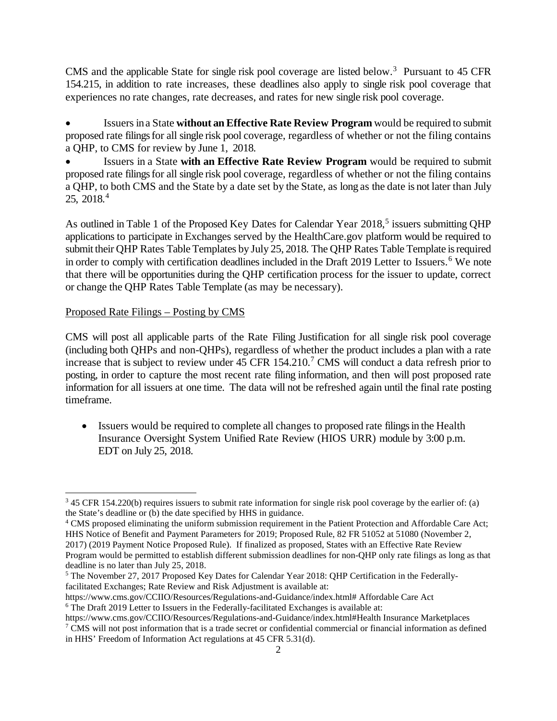CMS and the applicable State for single risk pool coverage are listed below.[3](#page-1-0) Pursuant to 45 CFR 154.215, in addition to rate increases, these deadlines also apply to single risk pool coverage that experiences no rate changes, rate decreases, and rates for new single risk pool coverage.

• Issuers in a State **without an Effective Rate Review Program** would be required to submit proposed rate filings for all single risk pool coverage, regardless of whether or not the filing contains a QHP, to CMS for review by June 1, 2018.

• Issuers in a State **with an Effective Rate Review Program** would be required to submit proposed rate filings for all single risk pool coverage, regardless of whether or not the filing contains a QHP, to both CMS and the State by a date set by the State, as long as the date is not later than July 25, 2018. [4](#page-1-1)

As outlined in Table 1 of the Proposed Key Dates for Calendar Year 2018, [5](#page-1-2) issuers submitting QHP applications to participate in Exchanges served by the HealthCare.gov platform would be required to submit their QHP Rates Table Templates by July 25, 2018. The QHP Rates Table Template is required in order to comply with certification deadlines included in the Draft 2019 Letter to Issuers.<sup>[6](#page-1-3)</sup> We note that there will be opportunities during the QHP certification process for the issuer to update, correct or change the QHP Rates Table Template (as may be necessary).

## Proposed Rate Filings – Posting by CMS

 $\overline{a}$ 

CMS will post all applicable parts of the Rate Filing Justification for all single risk pool coverage (including both QHPs and non-QHPs), regardless of whether the product includes a plan with a rate increase that is subject to review under 45 CFR 154.210.<sup>[7](#page-1-4)</sup> CMS will conduct a data refresh prior to posting, in order to capture the most recent rate filing information, and then will post proposed rate information for all issuers at one time. The data will not be refreshed again until the final rate posting timeframe.

• Issuers would be required to complete all changes to proposed rate filings in the Health Insurance Oversight System Unified Rate Review (HIOS URR) module by 3:00 p.m. EDT on July 25, 2018.

<span id="page-1-0"></span><sup>3</sup> 45 CFR 154.220(b) requires issuers to submit rate information for single risk pool coverage by the earlier of: (a) the State's deadline or (b) the date specified by HHS in guidance.

<span id="page-1-1"></span><sup>4</sup> CMS proposed eliminating the uniform submission requirement in the Patient Protection and Affordable Care Act; HHS Notice of Benefit and Payment Parameters for 2019; Proposed Rule, 82 FR 51052 at 51080 (November 2, 2017) (2019 Payment Notice Proposed Rule). If finalized as proposed, States with an Effective Rate Review Program would be permitted to establish different submission deadlines for non-QHP only rate filings as long as that deadline is no later than July 25, 2018.

<span id="page-1-2"></span><sup>&</sup>lt;sup>5</sup> The November 27, 2017 Proposed Key Dates for Calendar Year 2018: QHP Certification in the Federallyfacilitated Exchanges; Rate Review and Risk Adjustment is available at:

https://www.cms.gov/CCIIO/Resources/Regulations-and-Guidance/index.html# Affordable Care Act <sup>6</sup> The Draft 2019 Letter to Issuers in the Federally-facilitated Exchanges is available at:

<span id="page-1-3"></span>https://www.cms.gov/CCIIO/Resources/Regulations-and-Guidance/index.html#Health Insurance Marketplaces <sup>7</sup> CMS will not post information that is a trade secret or confidential commercial or financial information as defined

<span id="page-1-4"></span>in HHS' Freedom of Information Act regulations at 45 CFR 5.31(d).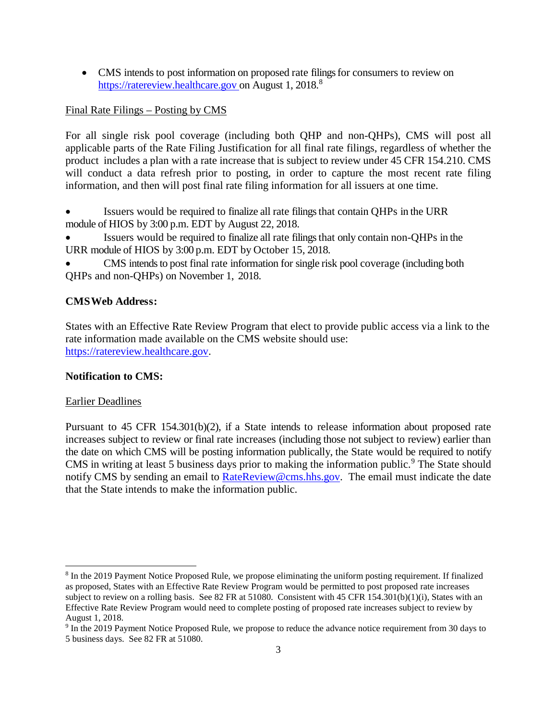• CMS intends to post information on proposed rate filings for consumers to review on https://ratereview.healthcare.gov on August 1, 201[8](#page-2-0).<sup>8</sup>

### Final Rate Filings – Posting by CMS

For all single risk pool coverage (including both QHP and non-QHPs), CMS will post all applicable parts of the Rate Filing Justification for all final rate filings, regardless of whether the product includes a plan with a rate increase that is subject to review under 45 CFR 154.210. CMS will conduct a data refresh prior to posting, in order to capture the most recent rate filing information, and then will post final rate filing information for all issuers at one time.

• Issuers would be required to finalize all rate filings that contain QHPs in the URR module of HIOS by 3:00 p.m. EDT by August 22, 2018.

• Issuers would be required to finalize all rate filings that only contain non-QHPs in the URR module of HIOS by 3:00 p.m. EDT by October 15, 2018.

• CMS intends to post final rate information for single risk pool coverage (including both QHPs and non-QHPs) on November 1, 2018.

### **CMSWeb Address:**

States with an Effective Rate Review Program that elect to provide public access via a link to the rate information made available on the CMS website should use: [https://ratereview.healthcare.gov.](https://ratereview.healthcare.gov/)

#### **Notification to CMS:**

#### Earlier Deadlines

 $\overline{a}$ 

Pursuant to 45 CFR 154.301(b)(2), if a State intends to release information about proposed rate increases subject to review or final rate increases (including those not subject to review) earlier than the date on which CMS will be posting information publically, the State would be required to notify CMS in writing at least 5 business days prior to making the information public.<sup>[9](#page-2-1)</sup> The State should notify CMS by sending an email to [RateReview@cms.hhs.gov.](mailto:RateReview@cms.hhs.gov) The email must indicate the date that the State intends to make the information public.

<span id="page-2-0"></span><sup>&</sup>lt;sup>8</sup> In the 2019 Payment Notice Proposed Rule, we propose eliminating the uniform posting requirement. If finalized as proposed, States with an Effective Rate Review Program would be permitted to post proposed rate increases subject to review on a rolling basis. See 82 FR at 51080. Consistent with 45 CFR 154.301(b)(1)(i), States with an Effective Rate Review Program would need to complete posting of proposed rate increases subject to review by August 1, 2018.

<span id="page-2-1"></span><sup>9</sup> In the 2019 Payment Notice Proposed Rule, we propose to reduce the advance notice requirement from 30 days to 5 business days. See 82 FR at 51080.